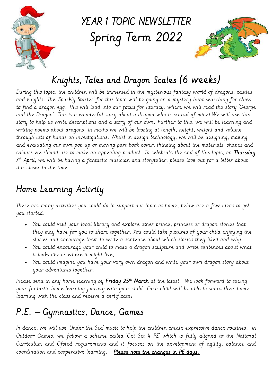

YEAR 1 TOPIC NEWSLETTER

Spring Term 2022



# Knights, Tales and Dragon Scales (6 weeks)

During this topic, the children will be immersed in the mysterious fantasy world of dragons, castles and knights. The 'Sparkly Starter' for this topic will be going on a mystery hunt searching for clues to find a dragon egg. This will lead into our focus for literacy, where we will read the story 'George and the Dragon'. This is a wonderful story about a dragon who is scared of mice! We will use this story to help us write descriptions and a story of our own. Further to this, we will be learning and writing poems about dragons. In maths we will be looking at length, height, weight and volume through lots of hands on investigations. Whilst in design technology, we will be designing, making and evaluating our own pop up or moving part book cover, thinking about the materials, shapes and colours we should use to make an appealing product. To celebrate the end of this topic, on Thursday 7 th April, we will be having a fantastic musician and storyteller, please look out for a letter about this closer to the time.

## Home Learning Activity

There are many activities you could do to support our topic at home, below are a few ideas to get you started:

- You could visit your local library and explore other prince, princess or dragon stories that they may have for you to share together. You could take pictures of your child enjoying the stories and encourage them to write a sentence about which stories they liked and why.
- You could encourage your child to make a dragon sculpture and write sentences about what it looks like or where it might live,
- You could imagine you have your very own dragon and write your own dragon story about your adventures together.

Please send in any home learning by **Friday 25th March** at the latest. We look forward to seeing . your fantastic home learning journey with your child. Each child will be able to share their home learning with the class and receive a certificate!

# P.E. – Gymnastics, Dance, Games

In dance, we will use 'Under the Sea' music to help the children create expressive dance routines. In Outdoor Games, we follow a scheme called 'Get Set 4 PE' which is fully aligned to the National Curriculum and Ofsted requirements and it focuses on the development of agility, balance and coordination and cooperative learning. Please note the changes in PE days.